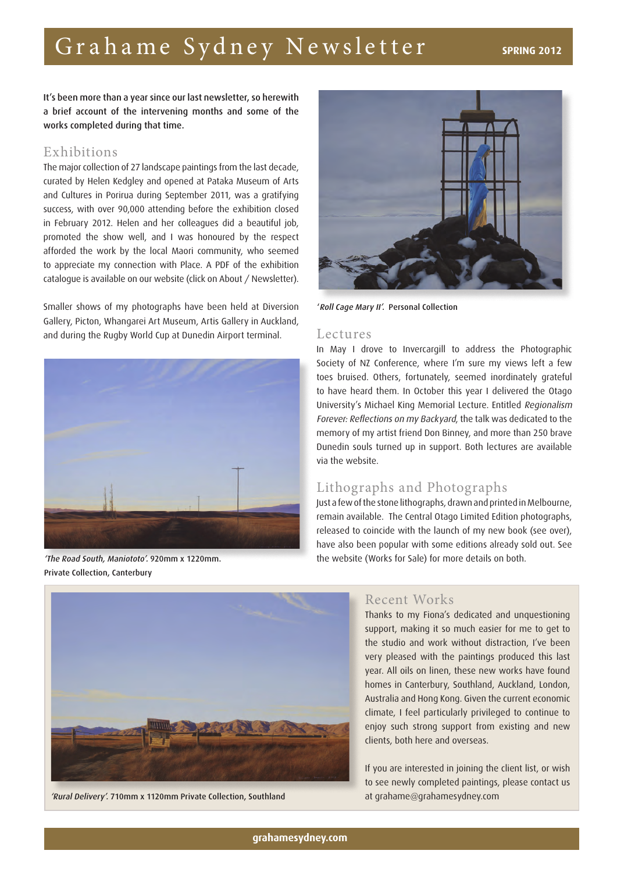# Grahame Sydney Newsletter **SPRING 2012**

It's been more than a year since our last newsletter, so herewith a brief account of the intervening months and some of the works completed during that time.

# Exhibitions

The major collection of 27 landscape paintings from the last decade, curated by Helen Kedgley and opened at Pataka Museum of Arts and Cultures in Porirua during September 2011, was a gratifying success, with over 90,000 attending before the exhibition closed in February 2012. Helen and her colleagues did a beautiful job, promoted the show well, and I was honoured by the respect afforded the work by the local Maori community, who seemed to appreciate my connection with Place. A PDF of the exhibition catalogue is available on our website (click on About / Newsletter).

Smaller shows of my photographs have been held at Diversion Gallery, Picton, Whangarei Art Museum, Artis Gallery in Auckland, and during the Rugby World Cup at Dunedin Airport terminal. Lectures



'The Road South, Maniototo'. 920mm x 1220mm. Private Collection, Canterbury



'Roll Cage Mary II'. Personal Collection

In May I drove to Invercargill to address the Photographic Society of NZ Conference, where I'm sure my views left a few toes bruised. Others, fortunately, seemed inordinately grateful to have heard them. In October this year I delivered the Otago University's Michael King Memorial Lecture. Entitled Regionalism Forever: Reflections on my Backyard, the talk was dedicated to the memory of my artist friend Don Binney, and more than 250 brave Dunedin souls turned up in support. Both lectures are available via the website.

# Lithographs and Photographs

Just a few of the stone lithographs, drawn and printed in Melbourne, remain available. The Central Otago Limited Edition photographs, released to coincide with the launch of my new book (see over), have also been popular with some editions already sold out. See the website (Works for Sale) for more details on both.



'Rural Delivery'. 710mm x 1120mm Private Collection, Southland at grahame@grahamesydney.com

# Recent Works

Thanks to my Fiona's dedicated and unquestioning support, making it so much easier for me to get to the studio and work without distraction, I've been very pleased with the paintings produced this last year. All oils on linen, these new works have found homes in Canterbury, Southland, Auckland, London, Australia and Hong Kong. Given the current economic climate, I feel particularly privileged to continue to enjoy such strong support from existing and new clients, both here and overseas.

If you are interested in joining the client list, or wish to see newly completed paintings, please contact us